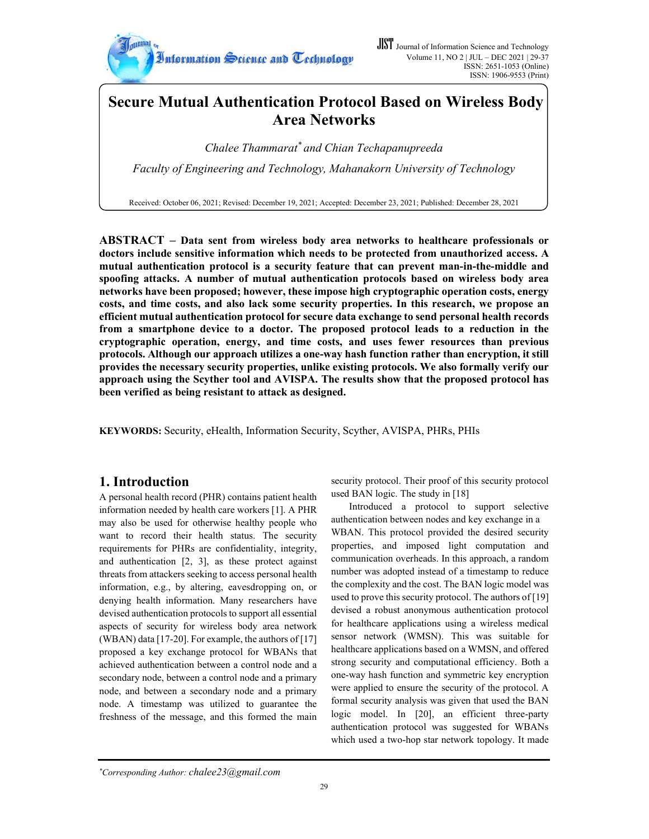

# **Secure Mutual Authentication Protocol Based on Wireless Body Area Networks**

*Chalee Thammarat\* and Chian Techapanupreeda Faculty of Engineering and Technology, Mahanakorn University of Technology*

Received: October 06, 2021; Revised: December 19, 2021; Accepted: December 23, 2021; Published: December 28, 2021

**ABSTRACT – Data sent from wireless body area networks to healthcare professionals or doctors include sensitive information which needs to be protected from unauthorized access. A mutual authentication protocol is a security feature that can prevent man-in-the-middle and spoofing attacks. A number of mutual authentication protocols based on wireless body area networks have been proposed; however, these impose high cryptographic operation costs, energy costs, and time costs, and also lack some security properties. In this research, we propose an efficient mutual authentication protocol for secure data exchange to send personal health records from a smartphone device to a doctor. The proposed protocol leads to a reduction in the cryptographic operation, energy, and time costs, and uses fewer resources than previous protocols. Although our approach utilizes a one-way hash function rather than encryption, it still provides the necessary security properties, unlike existing protocols. We also formally verify our approach using the Scyther tool and AVISPA. The results show that the proposed protocol has been verified as being resistant to attack as designed.**

**KEYWORDS:** Security, eHealth, Information Security, Scyther, AVISPA, PHRs, PHIs

# **1. Introduction**

A personal health record (PHR) contains patient health information needed by health care workers [1]. A PHR may also be used for otherwise healthy people who want to record their health status. The security requirements for PHRs are confidentiality, integrity, and authentication [2, 3], as these protect against threats from attackers seeking to access personal health information, e.g., by altering, eavesdropping on, or denying health information. Many researchers have devised authentication protocols to support all essential aspects of security for wireless body area network (WBAN) data [17-20]. For example, the authors of [17] proposed a key exchange protocol for WBANs that achieved authentication between a control node and a secondary node, between a control node and a primary node, and between a secondary node and a primary node. A timestamp was utilized to guarantee the freshness of the message, and this formed the main security protocol. Their proof of this security protocol used BAN logic. The study in [18]

Introduced a protocol to support selective authentication between nodes and key exchange in a WBAN. This protocol provided the desired security properties, and imposed light computation and communication overheads. In this approach, a random number was adopted instead of a timestamp to reduce the complexity and the cost. The BAN logic model was used to prove this security protocol. The authors of [19] devised a robust anonymous authentication protocol for healthcare applications using a wireless medical sensor network (WMSN). This was suitable for healthcare applications based on a WMSN, and offered strong security and computational efficiency. Both a one-way hash function and symmetric key encryption were applied to ensure the security of the protocol. A formal security analysis was given that used the BAN logic model. In [20], an efficient three-party authentication protocol was suggested for WBANs which used a two-hop star network topology. It made

*<sup>\*</sup> Corresponding Author: chalee23@gmail.com*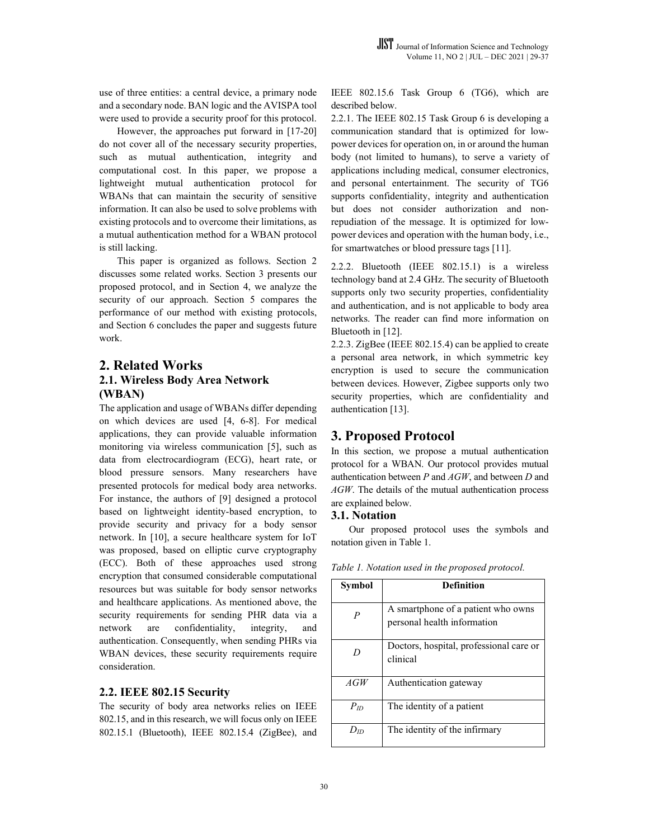use of three entities: a central device, a primary node and a secondary node. BAN logic and the AVISPA tool were used to provide a security proof for this protocol.

However, the approaches put forward in [17-20] do not cover all of the necessary security properties, such as mutual authentication, integrity and computational cost. In this paper, we propose a lightweight mutual authentication protocol for WBANs that can maintain the security of sensitive information. It can also be used to solve problems with existing protocols and to overcome their limitations, as a mutual authentication method for a WBAN protocol is still lacking.

This paper is organized as follows. Section 2 discusses some related works. Section 3 presents our proposed protocol, and in Section 4, we analyze the security of our approach. Section 5 compares the performance of our method with existing protocols, and Section 6 concludes the paper and suggests future work.

# **2. Related Works 2.1. Wireless Body Area Network (WBAN)**

The application and usage of WBANs differ depending on which devices are used [4, 6-8]. For medical applications, they can provide valuable information monitoring via wireless communication [5], such as data from electrocardiogram (ECG), heart rate, or blood pressure sensors. Many researchers have presented protocols for medical body area networks. For instance, the authors of [9] designed a protocol based on lightweight identity-based encryption, to provide security and privacy for a body sensor network. In [10], a secure healthcare system for IoT was proposed, based on elliptic curve cryptography (ECC). Both of these approaches used strong encryption that consumed considerable computational resources but was suitable for body sensor networks and healthcare applications. As mentioned above, the security requirements for sending PHR data via a network are confidentiality, integrity, and authentication. Consequently, when sending PHRs via WBAN devices, these security requirements require consideration.

#### **2.2. IEEE 802.15 Security**

The security of body area networks relies on IEEE 802.15, and in this research, we will focus only on IEEE 802.15.1 (Bluetooth), IEEE 802.15.4 (ZigBee), and IEEE 802.15.6 Task Group 6 (TG6), which are described below.

2.2.1. The IEEE 802.15 Task Group 6 is developing a communication standard that is optimized for lowpower devices for operation on, in or around the human body (not limited to humans), to serve a variety of applications including medical, consumer electronics, and personal entertainment. The security of TG6 supports confidentiality, integrity and authentication but does not consider authorization and nonrepudiation of the message. It is optimized for lowpower devices and operation with the human body, i.e., for smartwatches or blood pressure tags [11].

2.2.2. Bluetooth (IEEE 802.15.1) is a wireless technology band at 2.4 GHz. The security of Bluetooth supports only two security properties, confidentiality and authentication, and is not applicable to body area networks. The reader can find more information on Bluetooth in [12].

2.2.3. ZigBee (IEEE 802.15.4) can be applied to create a personal area network, in which symmetric key encryption is used to secure the communication between devices. However, Zigbee supports only two security properties, which are confidentiality and authentication [13].

### **3. Proposed Protocol**

In this section, we propose a mutual authentication protocol for a WBAN. Our protocol provides mutual authentication between *P* and *AGW*, and between *D* and *AGW*. The details of the mutual authentication process are explained below.

#### **3.1. Notation**

Our proposed protocol uses the symbols and notation given in Table 1.

| Symbol           | <b>Definition</b>                                                 |
|------------------|-------------------------------------------------------------------|
| $\boldsymbol{P}$ | A smartphone of a patient who owns<br>personal health information |
| D                | Doctors, hospital, professional care or<br>clinical               |
| AGW              | Authentication gateway                                            |
| $P_{ID}$         | The identity of a patient                                         |
| $D_{ID}$         | The identity of the infirmary                                     |

*Table 1. Notation used in the proposed protocol.*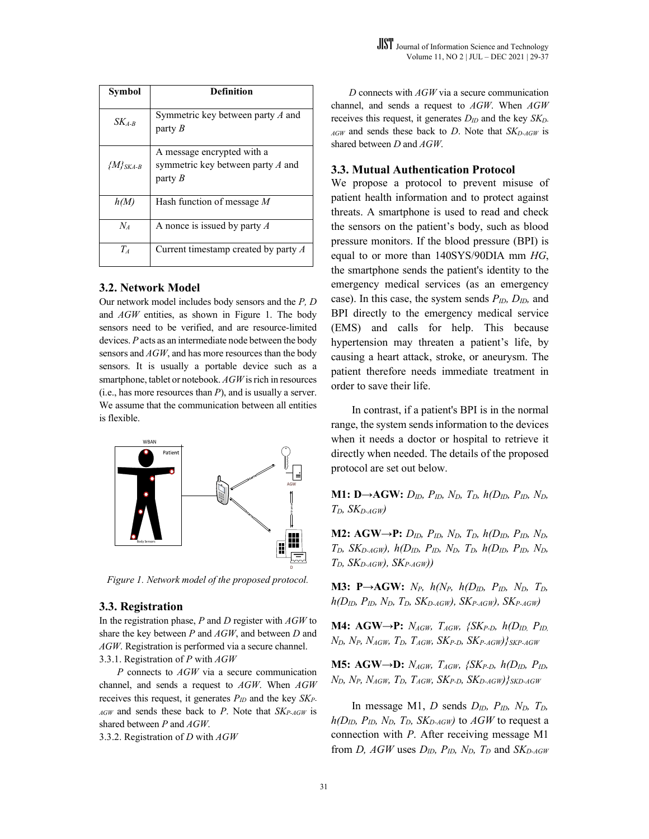| Symbol          | <b>Definition</b>                                                              |
|-----------------|--------------------------------------------------------------------------------|
| $SK_{4-R}$      | Symmetric key between party A and<br>party $B$                                 |
| $\{M\}_{SKA-B}$ | A message encrypted with a<br>symmetric key between party $A$ and<br>party $B$ |
| h(M)            | Hash function of message $M$                                                   |
| $N_{4}$         | A nonce is issued by party $A$                                                 |
| Ŧ               | Current timestamp created by party A                                           |

#### **3.2. Network Model**

Our network model includes body sensors and the *P, D*  and *AGW* entities, as shown in Figure 1. The body sensors need to be verified, and are resource-limited devices. *P* acts as an intermediate node between the body sensors and *AGW*, and has more resources than the body sensors. It is usually a portable device such as a smartphone, tablet or notebook. *AGW* is rich in resources (i.e., has more resources than *P*), and is usually a server. We assume that the communication between all entities is flexible.



*Figure 1. Network model of the proposed protocol.*

#### **3.3. Registration**

In the registration phase, *P* and *D* register with *AGW* to share the key between *P* and *AGW*, and between *D* and *AGW*. Registration is performed via a secure channel. 3.3.1. Registration of *P* with *AGW*

*P* connects to *AGW* via a secure communication channel, and sends a request to *AGW*. When *AGW* receives this request, it generates *PID* and the key *SKP-AGW* and sends these back to *P*. Note that *SKP-AGW* is shared between *P* and *AGW*.

3.3.2. Registration of *D* with *AGW*

*D* connects with *AGW* via a secure communication channel, and sends a request to *AGW*. When *AGW* receives this request, it generates  $D_{ID}$  and the key *SK<sub>D</sub>*. *AGW* and sends these back to *D*. Note that *SKD-AGW* is shared between *D* and *AGW*.

#### **3.3. Mutual Authentication Protocol**

We propose a protocol to prevent misuse of patient health information and to protect against threats. A smartphone is used to read and check the sensors on the patient's body, such as blood pressure monitors. If the blood pressure (BPI) is equal to or more than 140SYS/90DIA mm *HG*, the smartphone sends the patient's identity to the emergency medical services (as an emergency case). In this case, the system sends *PID, DID,* and BPI directly to the emergency medical service (EMS) and calls for help. This because hypertension may threaten a patient's life, by causing a heart attack, stroke, or aneurysm. The patient therefore needs immediate treatment in order to save their life.

In contrast, if a patient's BPI is in the normal range, the system sends information to the devices when it needs a doctor or hospital to retrieve it directly when needed. The details of the proposed protocol are set out below.

**M1: D→AGW:** *DID, PID, ND, TD, h(DID, PID, ND, TD, SKD-AGW)*

**M2: AGW→P:** *DID, PID, ND, TD, h(DID, PID, ND, TD, SKD-AGW), h(DID, PID, ND, TD, h(DID, PID, ND,*   $T_D$ , *SK<sub>D-AGW</sub>*), *SK<sub>P-AGW</sub>*)

**M3: P→AGW:** *NP, h(NP, h(DID, PID, ND, TD,*   $h(D_{ID}, P_{ID}, N_D, T_D, SK_{D-AGW})$ ,  $SK_{P-AGW}$ ,  $SK_{P-AGW}$ 

**M4: AGW→P:** *NAGW, TAGW, {SKP-D, h(DID, PID,*  $N_D$ ,  $N_P$ ,  $N_{AGW}$ ,  $T_D$ ,  $T_{AGW}$ ,  $SK_{P-D}$ ,  $SK_{P-AGW}$ )}  $_{SKP-AGW}$ 

**M5: AGW→D:** *NAGW, TAGW, {SKP-D, h(DID, PID,*   $N_D$ ,  $N_P$ ,  $N_{AGW}$ ,  $T_D$ ,  $T_{AGW}$ ,  $SK_{P-D}$ ,  $SK_{D\text{-}AGW}$ ) $\}$ <sub>SKD-AGW</sub>

In message M1, *D* sends *DID, PID, ND, TD,*   $h(D_{ID}, P_{ID}, N_D, T_D, SK_{D-AGW})$  to  $AGW$  to request a connection with *P*. After receiving message M1 from *D, AGW* uses  $D_{ID}$ ,  $P_{ID}$ ,  $N_{D}$ ,  $T_{D}$  and  $SK_{D\text{-}AGW}$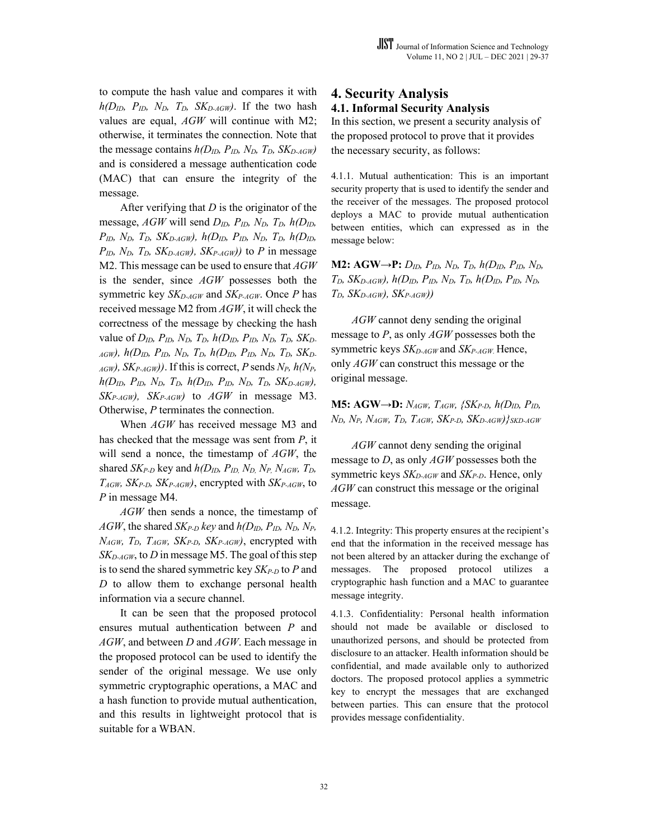to compute the hash value and compares it with  $h(D_{ID}, P_{ID}, N_D, T_D, SK_{D\text{-}AGW})$ . If the two hash values are equal, *AGW* will continue with M2; otherwise, it terminates the connection. Note that the message contains  $h(D_{ID}, P_{ID}, N_D, T_D, SK_{D-AGW})$ and is considered a message authentication code (MAC) that can ensure the integrity of the message.

After verifying that *D* is the originator of the message,  $AGW$  will send  $D_{ID}$ ,  $P_{ID}$ ,  $N_D$ ,  $T_D$ ,  $h(D_{ID})$ ,  $P_{ID}$ ,  $N_D$ ,  $T_D$ ,  $SK_{D-AGW}$ ,  $h(D_{ID}$ ,  $P_{ID}$ ,  $N_D$ ,  $T_D$ ,  $h(D_{ID}$ ,  $P_{ID}$ ,  $N_{D}$ ,  $T_{D}$ ,  $SK_{D-AGW}$ ,  $SK_{P-AGW}$ ) to *P* in message M2. This message can be used to ensure that *AGW* is the sender, since *AGW* possesses both the symmetric key *SK<sub>D-AGW</sub>* and *SK<sub>P-AGW</sub>*. Once *P* has received message M2 from *AGW*, it will check the correctness of the message by checking the hash value of *DID, PID, ND, TD, h(DID, PID, ND, TD, SKD-AGW), h(DID, PID, ND, TD, h(DID, PID, ND, TD, SKD-* $_{AGW}$ ),  $SK_{P\text{-}AGW}$ ). If this is correct, P sends  $N_P$ ,  $h(N_P)$  $h(D_{ID}, P_{ID}, N_D, T_D, h(D_{ID}, P_{ID}, N_D, T_D, SK_{D-AGW}),$ *SKP-AGW), SKP-AGW)* to *AGW* in message M3. Otherwise, *P* terminates the connection.

When *AGW* has received message M3 and has checked that the message was sent from *P*, it will send a nonce, the timestamp of *AGW*, the shared *SKP-D* key and *h(DID, PID, ND, NP, NAGW, TD, TAGW, SKP-D, SKP-AGW)*, encrypted with *SKP-AGW*, to *P* in message M4.

*AGW* then sends a nonce, the timestamp of *AGW*, the shared *SKP-D key* and *h(DID, PID, ND, NP, NAGW, TD, TAGW, SKP-D, SKP-AGW)*, encrypted with *SKD-AGW*, to *D* in message M5. The goal of this step is to send the shared symmetric key *SKP-D* to *P* and *D* to allow them to exchange personal health information via a secure channel.

It can be seen that the proposed protocol ensures mutual authentication between *P* and *AGW*, and between *D* and *AGW*. Each message in the proposed protocol can be used to identify the sender of the original message. We use only symmetric cryptographic operations, a MAC and a hash function to provide mutual authentication, and this results in lightweight protocol that is suitable for a WBAN.

## **4. Security Analysis 4.1. Informal Security Analysis**

In this section, we present a security analysis of the proposed protocol to prove that it provides the necessary security, as follows:

4.1.1. Mutual authentication: This is an important security property that is used to identify the sender and the receiver of the messages. The proposed protocol deploys a MAC to provide mutual authentication between entities, which can expressed as in the message below:

**M2: AGW→P:**  $D_{ID}$ ,  $P_{ID}$ ,  $N_D$ ,  $T_D$ ,  $h(D_{ID}$ ,  $P_{ID}$ ,  $N_D$ ,  $T_D$ , *SK<sub>D-AGW</sub>*),  $h(D_{ID}, P_{ID}, N_D, T_D, h(D_{ID}, P_{ID}, N_D,$ *TD, SKD-AGW), SKP-AGW))*

*AGW* cannot deny sending the original message to *P*, as only *AGW* possesses both the symmetric keys *SKD-AGW* and *SKP-AGW*. Hence, only *AGW* can construct this message or the original message.

**M5: AGW→D:** *NAGW, TAGW, {SKP-D, h(DID, PID,*   $N_D$ ,  $N_P$ ,  $N_{AGW}$ ,  $T_D$ ,  $T_{AGW}$ ,  $SK_{P-D}$ ,  $SK_{D-AGW}$ )}  $_{SKD-AGW}$ 

*AGW* cannot deny sending the original message to *D*, as only *AGW* possesses both the symmetric keys *SK<sub>D-AGW</sub>* and *SK<sub>P-D</sub>*. Hence, only *AGW* can construct this message or the original message.

4.1.2. Integrity: This property ensures at the recipient's end that the information in the received message has not been altered by an attacker during the exchange of messages. The proposed protocol utilizes cryptographic hash function and a MAC to guarantee message integrity.

4.1.3. Confidentiality: Personal health information should not made be available or disclosed to unauthorized persons, and should be protected from disclosure to an attacker. Health information should be confidential, and made available only to authorized doctors. The proposed protocol applies a symmetric key to encrypt the messages that are exchanged between parties. This can ensure that the protocol provides message confidentiality.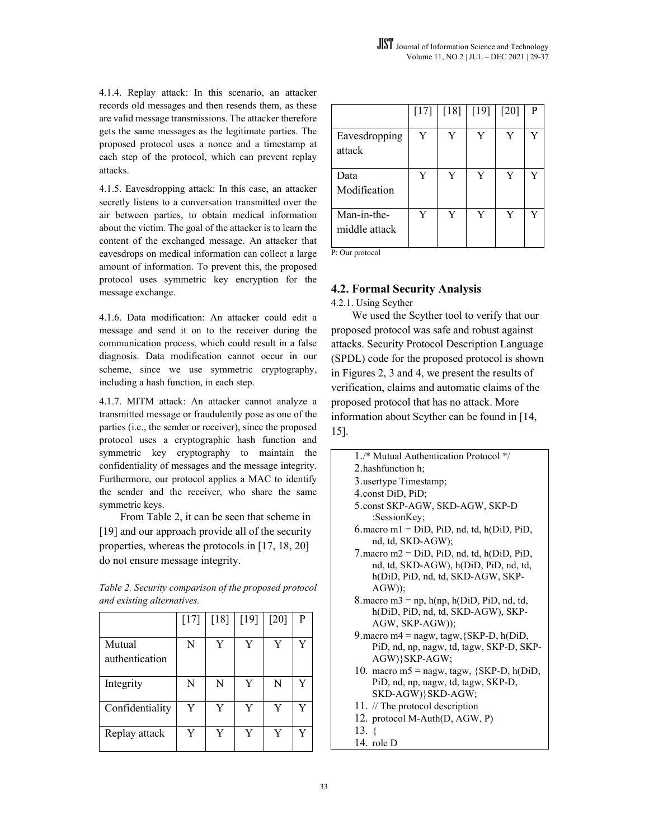4.1.4. Replay attack: In this scenario, an attacker records old messages and then resends them, as these are valid message transmissions. The attacker therefore gets the same messages as the legitimate parties. The proposed protocol uses a nonce and a timestamp at each step of the protocol, which can prevent replay attacks.

4.1.5. Eavesdropping attack: In this case, an attacker secretly listens to a conversation transmitted over the air between parties, to obtain medical information about the victim. The goal of the attacker is to learn the content of the exchanged message. An attacker that eavesdrops on medical information can collect a large amount of information. To prevent this, the proposed protocol uses symmetric key encryption for the message exchange.

4.1.6. Data modification: An attacker could edit a message and send it on to the receiver during the communication process, which could result in a false diagnosis. Data modification cannot occur in our scheme, since we use symmetric cryptography, including a hash function, in each step.

4.1.7. MITM attack: An attacker cannot analyze a transmitted message or fraudulently pose as one of the parties (i.e., the sender or receiver), since the proposed protocol uses a cryptographic hash function and symmetric key cryptography to maintain the confidentiality of messages and the message integrity. Furthermore, our protocol applies a MAC to identify the sender and the receiver, who share the same symmetric keys.

From Table 2, it can be seen that scheme in [19] and our approach provide all of the security properties, whereas the protocols in [17, 18, 20] do not ensure message integrity.

*Table 2. Security comparison of the proposed protocol and existing alternatives.*

|                          | $[17]$ | $[18]$ | $[19]$ | $[20]$ | P |
|--------------------------|--------|--------|--------|--------|---|
| Mutual<br>authentication | N      | Y      | Y      | Y      |   |
| Integrity                | N      | N      | Y      | N      |   |
| Confidentiality          | Y      | Y      | Y      | Y      | Y |
| Replay attack            | Y      | Y      | V      | Y      |   |

|                              | $[17]$ | $[18]$ | $[19]$ | $[20]$ | P |
|------------------------------|--------|--------|--------|--------|---|
| Eavesdropping<br>attack      | Y      | Y      | Y      | Y      | Y |
| Data<br>Modification         | Y      | Y      | Y      | Y      | Y |
| Man-in-the-<br>middle attack | Y      | Y      | Y      | Y      | Y |

P: Our protocol

## **4.2. Formal Security Analysis**

4.2.1. Using Scyther

We used the Scyther tool to verify that our proposed protocol was safe and robust against attacks. Security Protocol Description Language (SPDL) code for the proposed protocol is shown in Figures 2, 3 and 4, we present the results of verification, claims and automatic claims of the proposed protocol that has no attack. More information about Scyther can be found in [14, 15].

- 1./\* Mutual Authentication Protocol \*/ 2.hashfunction h; 3.usertype Timestamp; 4.const DiD, PiD; 5.const SKP-AGW, SKD-AGW, SKP-D :SessionKey;  $6$ .macro m $1 =$  DiD, PiD, nd, td, h(DiD, PiD, nd, td, SKD-AGW);  $7.\text{macro m2} = \text{DiD}, \text{PiD}, \text{nd}, \text{td}, \text{h}(\text{DiD}, \text{PiD})$ nd, td, SKD-AGW), h(DiD, PiD, nd, td, h(DiD, PiD, nd, td, SKD-AGW, SKP-AGW)); 8. macro m $3 = np$ , h(np, h(DiD, PiD, nd, td, h(DiD, PiD, nd, td, SKD-AGW), SKP-AGW, SKP-AGW)); 9. macro m $4 =$  nagw, tagw, {SKP-D, h(DiD, PiD, nd, np, nagw, td, tagw, SKP-D, SKP-AGW)}SKP-AGW; 10. macro m5 = nagw, tagw,  ${SKP-D, h(DiD,)}$ PiD, nd, np, nagw, td, tagw, SKP-D, SKD-AGW)}SKD-AGW; 11. // The protocol description 12. protocol M-Auth(D, AGW, P) 13. {
- 14. role D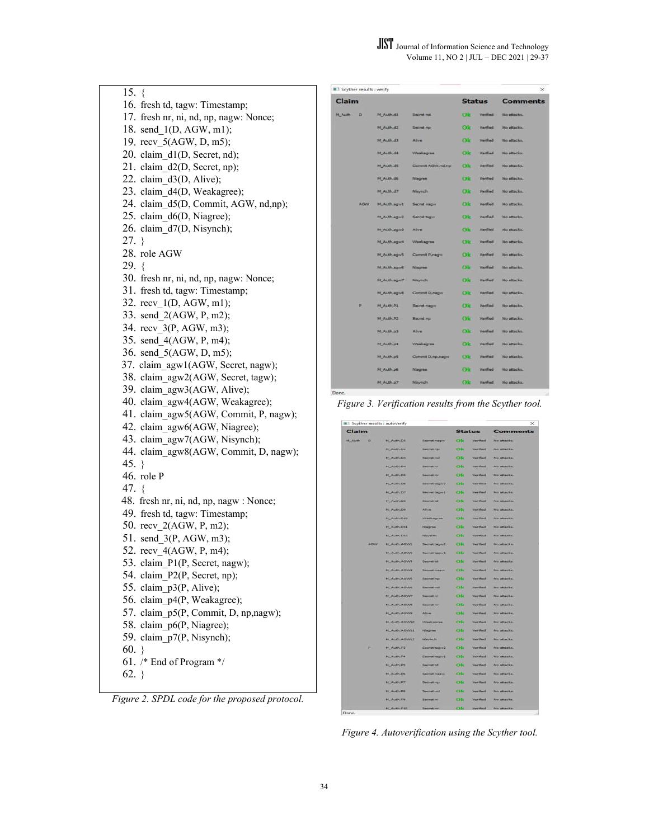15. { 16. fresh td, tagw: Timestamp; 17. fresh nr, ni, nd, np, nagw: Nonce; 18. send 1(D, AGW, m1); 19. recv\_5(AGW, D, m5); 20. claim\_d1(D, Secret, nd); 21. claim\_d2(D, Secret, np); 22. claim\_d3(D, Alive); 23. claim\_d4(D, Weakagree); 24. claim\_d5(D, Commit, AGW, nd,np); 25. claim\_d6(D, Niagree); 26. claim\_d7(D, Nisynch); 27. } 28. role AGW  $29. \t{3}$ 30. fresh nr, ni, nd, np, nagw: Nonce; 31. fresh td, tagw: Timestamp; 32. recv\_1(D, AGW, m1); 33. send\_2(AGW, P, m2); 34. recv\_3(P, AGW, m3); 35. send\_4(AGW, P, m4); 36. send\_5(AGW, D, m5); 37. claim\_agw1(AGW, Secret, nagw); 38. claim\_agw2(AGW, Secret, tagw); 39. claim\_agw3(AGW, Alive); 40. claim\_agw4(AGW, Weakagree); 41. claim\_agw5(AGW, Commit, P, nagw); 42. claim\_agw6(AGW, Niagree); 43. claim\_agw7(AGW, Nisynch); 44. claim\_agw8(AGW, Commit, D, nagw); 45. } 46. role P 47. { 48. fresh nr, ni, nd, np, nagw : Nonce; 49. fresh td, tagw: Timestamp; 50. recv\_2(AGW, P, m2); 51. send\_3(P, AGW, m3); 52. recv\_4(AGW, P, m4); 53. claim\_P1(P, Secret, nagw); 54. claim\_P2(P, Secret, np); 55. claim\_p3(P, Alive); 56. claim\_p4(P, Weakagree); 57. claim\_p5(P, Commit, D, np,nagw); 58. claim\_p6(P, Niagree); 59. claim\_p7(P, Nisynch); 60. } 61. /\* End of Program \*/  $62.$ }

*Figure 2. SPDL code for the proposed protocol.*

| Scyther results : verify |                      |                      |     |                 | ×               |
|--------------------------|----------------------|----------------------|-----|-----------------|-----------------|
| Claim                    |                      |                      |     | <b>Status</b>   | <b>Comments</b> |
| M. Auth<br>D             | M_Authud1            | Secret nd            | Ok  | Verifield       | No attacks:     |
|                          | <b>N. Author2</b>    | Secret no            | Olc | Varified        | No attacks.     |
|                          | <b>M. Authuriz</b>   | Alline               | Ok  | Verified        | No attacks.     |
|                          | M. Authud4           | Weeksgree            | Ok  | Verified        | No attacks.     |
|                          | M Auth.ds            | Commit AGW.nd.np     | Ok  | <b>Verified</b> | No attacks.     |
|                          | <b>M. Authude</b>    | Niagree              | Ok  | Verified        | No attacks.     |
|                          | <b>M. Authud?</b>    | Nieynch.             | Ok  | Verified        | No attacks.     |
| <b>AGW</b>               | M_Auth.agw1          | Secret nager         | Ok  | Verified        | No stracks.     |
|                          | M_Auth.age/2         | <b>Secret tager</b>  | Ok  | Verified        | No attacks.     |
|                          | M_Auth.agiv3         | Alive                | Ok  | Verified        | No attacks.     |
|                          | <b>M. Auth.agurt</b> | Weekagree            | Ole | Verified        | No attacks.     |
|                          | <b>M. Auth.agiv5</b> | Commit P.nagilli     | Ok  | Verified        | No attacks.     |
|                          | <b>M. Auth.agust</b> | Nagree               | Ok  | Verified        | No attacks.     |
|                          | <b>M. Auth.agu/7</b> | <b>Navymch</b>       | Ole | Verified        | No attacks.     |
|                          | <b>M. Auth.agyd</b>  | Commit Dunager       | Ok  | Verified        | No attacks.     |
| P.                       | M Auth.P1            | Secret nager         | Ok  | Verified        | No attacks.     |
|                          | M. Auth.P2           | Secret np            | Ok  | Verified        | No attacks.     |
|                          | M_Auth.p3            | Alive                | Olc | <b>Verified</b> | No attacks.     |
|                          | <b>M. Authup4</b>    | <b>Weekagree</b>     | Ok  | Verified        | No attacks.     |
|                          | <b>14 Authors</b>    | Commit D, rip, nagni | Olc | Verified        | No attacks.     |
|                          | <b>M. Authup6</b>    | Niagres              | Olc | Verified        | No attacks.     |
|                          | M. Authiel?          | Neynch               | Ok  | Verified        | No attacks.     |
| Done.                    |                      |                      |     |                 |                 |

*Figure 3. Verification results from the Scyther tool.*

|                |              | Scyther results : autoverify |                                  |               |                              | $>\,$                      |
|----------------|--------------|------------------------------|----------------------------------|---------------|------------------------------|----------------------------|
| Claim          |              |                              |                                  | <b>Status</b> |                              | <b>Comments</b>            |
| <b>M. Auth</b> | ×            | <b>M. Auth.DA</b>            | Secret megys                     | Ok            | Verified                     | No attacks.                |
|                |              | <b>BA RUNH.TXI</b>           | <b>Secret run</b>                | <b>OM</b>     | <b>WartFood</b>              | <b>No otherloo</b>         |
|                |              | <b>M. AVIILDS</b>            | <b>Becret nut</b>                | Ok            | Verified                     | No attacks.                |
|                |              | <b>PE AUDION</b>             | <b>Uncest Vil</b>                | OR            | Varified                     | <b>Fris attacks</b>        |
|                |              | <b><i>BR_MUSITILERE</i></b>  | <b><i><u>General VII</u></i></b> | Ok            | <b>Meritant</b>              | <b>This effective</b>      |
|                |              | <b>68 Auth De</b>            | <b>Secret teorie 3</b>           | <b>CHC</b>    | <b>Weight Minnesot</b>       | fen attacks.               |
|                |              | <b>FA ALLINGTON</b>          | <b>George Engines</b>            | <b>CHE</b>    | <b>Verified</b>              | <b>Ho attacks</b>          |
|                |              | <b>H. AUGUDE</b>             | <b>George tol</b>                | Ok            | <b>Varified</b>              | <b>Fell attacks</b>        |
|                |              | <b>FR. Auth Dir</b>          | <b>Abus</b>                      | <b>Calc</b>   | <b>Varified</b>              | <b>FAG AREACKA</b>         |
|                |              | <b>84 Audit D10</b>          | <b>Weeksgree</b>                 | Ok            | <b><i><u>Varitad</u></i></b> | No attacks.                |
|                |              | <b>H AuthiDES</b>            | <b>Hisgran</b>                   | Ok            | <b>Verified</b> :            | Ho attacks                 |
|                |              | <b>H.AuthJD13</b>            | <b>Navech</b>                    | OK            | <b>Vertfield</b>             | No attacks.                |
|                | <b>ACIVY</b> | <b>H. AUTILAGWI</b>          | Secret tegm2                     | Ok            | Verified                     | No attacks                 |
|                |              | <b>H.Auth.ADW2</b>           | <b>George tagers</b>             | <b>COM</b>    | Vartfled                     | <b>No attacks</b>          |
|                |              | <b>H. AUBI, ACIVIS</b>       | George tol                       | <b>OM</b>     | <b>Varitimit</b>             | <b>No altarks</b>          |
|                |              | <b>M. Audity Actives</b>     | <b>Secret magic</b>              | Ok            | <b>Verified</b>              | <b>Reds antique line</b>   |
|                |              | <b>N. ALBI-ADWE</b>          | <b><i><u>Harrist run</u></i></b> | Ok            | Verified                     | <b>No alteria</b>          |
|                |              | <b>H. AUSKACHUS</b>          | <b>Naverstreet</b>               | Ok            | <b>Varihand</b>              | <b>FEW ARRAIGNAL</b>       |
|                |              | <b>M. Auth.Acroce</b>        | Smorell rei                      | Ok            | Verifical                    | <b>No. officially</b>      |
|                |              | <b>M. Avilly Atlanta</b>     | <b>Secret nr</b>                 | Ok            | <b>Verifind</b>              | <b>NO Allacks</b>          |
|                |              | <b>H. Authi Ativora</b>      | Alrea                            | Ok            | Verified                     | FOR ASSAULT.               |
|                |              | <b>BR AUSTILASHWEE</b>       | <b>Weekagree</b>                 | oк            | <b>Wartfind</b>              | Ho allacha                 |
|                |              | <b>RE-AUST-ASSAMER</b>       | <b>PELAGINAL</b>                 | <b>COLC</b>   | <b>Varilage</b>              | No attacks.                |
|                |              | <b>M. AUST. AGWVLE</b>       | <b>Felanymichi</b>               | OR            | <b>Verified</b>              | <b>Ho attacks</b>          |
|                | p.           | <b>H. Auth.P3</b>            | Secret tages2                    | Ok            | Vertfied                     | <b>No attacks</b>          |
|                |              | <b>94 Audi D4</b>            | Secret tequit                    | Ok            | <b>Mexican</b>               | No attacks.                |
|                |              | <b>M. Auth.PE</b>            | <b>Secret td</b>                 | Ok            | Verified                     | No. attacks.               |
|                |              | <b>HE AUTHAN</b>             | <b>George magnet</b>             | <b>CYM</b>    | <b>Varillad</b>              | No stracks.                |
|                |              | <b>M.AVINJPP</b>             | <b>Secret rip</b>                | OK            | <b>Varilland</b>             | No attacks.                |
|                |              | <b>HELAUREAN</b>             | <b>Secrat nd</b>                 | Ok            | Verified                     | <b>Fact additionalists</b> |
|                |              | <b>H. Auth.PE</b>            | <b>Recent en</b>                 | œв            | <b>Varitmit</b>              | <b>Spo attention</b>       |
|                |              | <b>PR_AUGURED</b>            | <b>Theoret rid</b>               | Ok            | <b>Verifical</b>             | <b>For attacks</b>         |

*Figure 4. Autoverification using the Scyther tool.*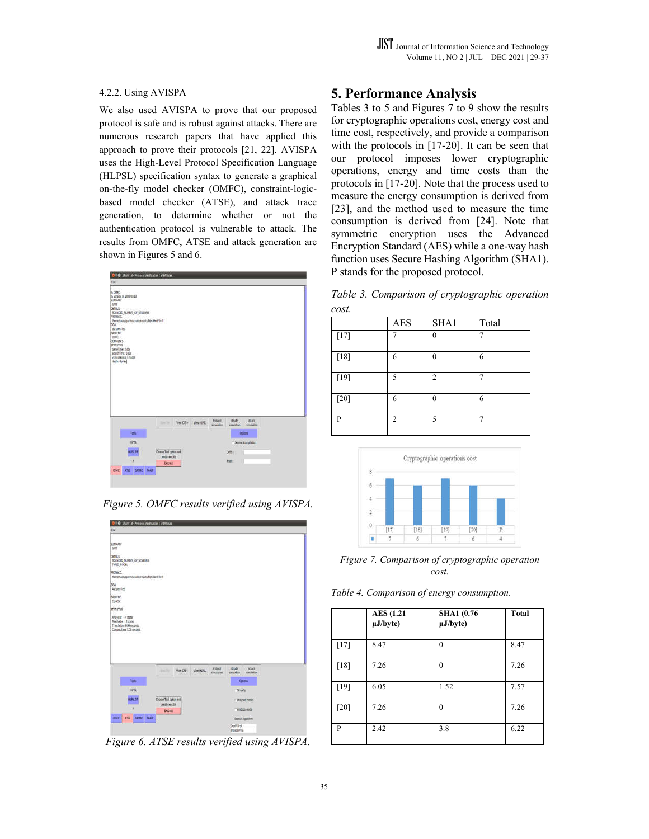#### 4.2.2. Using AVISPA

We also used AVISPA to prove that our proposed protocol is safe and is robust against attacks. There are numerous research papers that have applied this approach to prove their protocols [21, 22]. AVISPA uses the High-Level Protocol Specification Language (HLPSL) specification syntax to generate a graphical on-the-fly model checker (OMFC), constraint-logicbased model checker (ATSE), and attack trace generation, to determine whether or not the authentication protocol is vulnerable to attack. The results from OMFC, ATSE and attack generation are shown in Figures 5 and 6.



*Figure 5. OMFC results verified using AVISPA.*

| 000 SAN 1.6 - Probacol Verticuties : WEAR Los                                                                                 |                                         |           |           |                              |                                    |                            |  |
|-------------------------------------------------------------------------------------------------------------------------------|-----------------------------------------|-----------|-----------|------------------------------|------------------------------------|----------------------------|--|
| He                                                                                                                            |                                         |           |           |                              |                                    |                            |  |
| SUMMARY<br><b>SAFE</b><br>DETALS.<br><b>NOUNDED MUNIERIN OF SESSIONS</b><br>TYPED MODEL                                       |                                         |           |           |                              |                                    |                            |  |
| <b>PROTOCOL</b><br>hometquestquestealtereiultahlgolDenFile.if                                                                 |                                         |           |           |                              |                                    |                            |  |
| <b>HOUL</b><br>As Specified                                                                                                   |                                         |           |           |                              |                                    |                            |  |
| MOZNO<br>0.48e                                                                                                                |                                         |           |           |                              |                                    |                            |  |
| STATISTICS                                                                                                                    |                                         |           |           |                              |                                    |                            |  |
| Analysed -4 states<br>Reachable - 2 states<br>Translation: 0.00 seconds<br>Computation: 0.00 seconds<br>1: 15, 22, 23, 24, 25 |                                         |           |           |                              |                                    |                            |  |
|                                                                                                                               | <b>SALTA</b>                            | View CAS+ | Vice HUSL | <b>Protocol</b><br>dmutation | <b>Incident</b><br>umdatum         | Atach<br><b>SIMULATION</b> |  |
| <b>Tien</b>                                                                                                                   |                                         |           |           |                              |                                    | <b>Optima</b>              |  |
| HUSL                                                                                                                          |                                         |           |           |                              | SHOP                               |                            |  |
| <b>ALPAZIE</b>                                                                                                                | Choose Tool option and<br>prest execute |           |           |                              |                                    | T' Droged matel            |  |
| ٠                                                                                                                             | <b>Exotots</b>                          |           |           |                              |                                    | Weboas mode                |  |
| <b>GINC</b><br>ATIK<br>SATING                                                                                                 | TARIF                                   |           |           |                              |                                    | Search Algorithm           |  |
|                                                                                                                               |                                         |           |           |                              | Doze first<br><b>Banadis First</b> |                            |  |

*Figure 6. ATSE results verified using AVISPA.*

# **5. Performance Analysis**

Tables 3 to 5 and Figures 7 to 9 show the results for cryptographic operations cost, energy cost and time cost, respectively, and provide a comparison with the protocols in [17-20]. It can be seen that our protocol imposes lower cryptographic operations, energy and time costs than the protocols in [17-20]. Note that the process used to measure the energy consumption is derived from [23], and the method used to measure the time consumption is derived from [24]. Note that symmetric encryption uses the Advanced Encryption Standard (AES) while a one-way hash function uses Secure Hashing Algorithm (SHA1). P stands for the proposed protocol.

*Table 3. Comparison of cryptographic operation cost.* 

|        | AES | SHA1           | Total |
|--------|-----|----------------|-------|
| $[17]$ |     | 0              | 7     |
| $[18]$ | 6   | $\Omega$       | 6     |
| $[19]$ | 5   | $\overline{2}$ |       |
| $[20]$ | 6   | $\Omega$       | 6     |
| P      | 2   | 5              | π     |



*Figure 7. Comparison of cryptographic operation cost.*

*Table 4. Comparison of energy consumption.* 

|        | <b>AES</b> (1.21<br>µJ/byte) | <b>SHA1</b> (0.76)<br>$\mu$ J/byte) | <b>Total</b> |
|--------|------------------------------|-------------------------------------|--------------|
| $[17]$ | 8.47                         | $\Omega$                            | 8.47         |
| [18]   | 7.26                         | $\Omega$                            | 7.26         |
| $[19]$ | 6.05                         | 1.52                                | 7.57         |
| [20]   | 7.26                         | $\Omega$                            | 7.26         |
| P      | 2.42                         | 3.8                                 | 6.22         |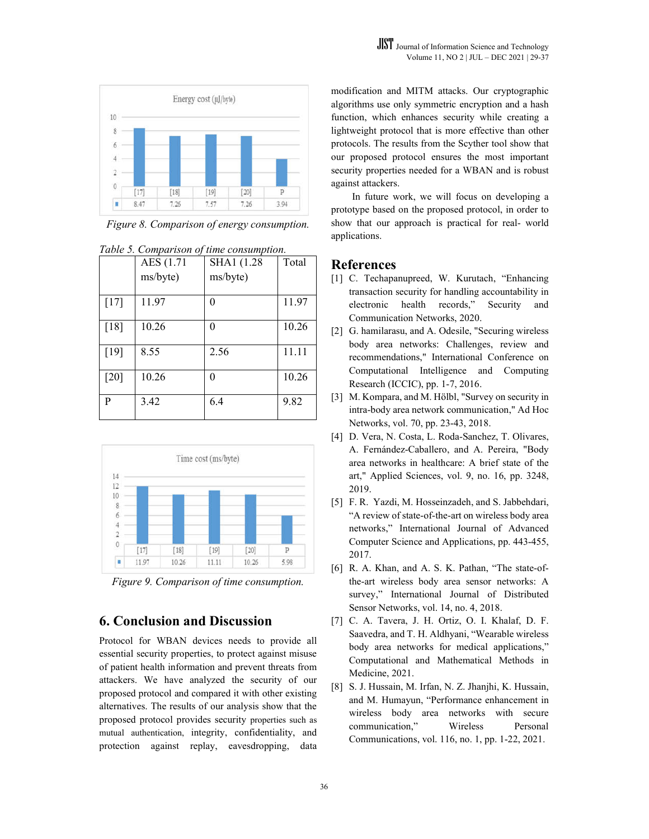

*Figure 8. Comparison of energy consumption.*

|        | AES (1.71 | SHA1 (1.28 | Total |
|--------|-----------|------------|-------|
|        | ms/byte)  | ms/byte)   |       |
| $[17]$ | 11.97     | 0          | 11.97 |
| [18]   | 10.26     | 0          | 10.26 |
| $[19]$ | 8.55      | 2.56       | 11.11 |
| [20]   | 10.26     | 0          | 10.26 |
| P      | 3.42      | 6.4        | 9.82  |



*Figure 9. Comparison of time consumption.*

### **6. Conclusion and Discussion**

Protocol for WBAN devices needs to provide all essential security properties, to protect against misuse of patient health information and prevent threats from attackers. We have analyzed the security of our proposed protocol and compared it with other existing alternatives. The results of our analysis show that the proposed protocol provides security properties such as mutual authentication, integrity, confidentiality, and protection against replay, eavesdropping, data modification and MITM attacks. Our cryptographic algorithms use only symmetric encryption and a hash function, which enhances security while creating a lightweight protocol that is more effective than other protocols. The results from the Scyther tool show that our proposed protocol ensures the most important security properties needed for a WBAN and is robust against attackers.

In future work, we will focus on developing a prototype based on the proposed protocol, in order to show that our approach is practical for real- world applications.

#### **References**

- [1] C. Techapanupreed, W. Kurutach, "Enhancing transaction security for handling accountability in electronic health records," Security and Communication Networks, 2020.
- [2] G. hamilarasu, and A. Odesile, "Securing wireless body area networks: Challenges, review and recommendations," International Conference on Computational Intelligence and Computing Research (ICCIC), pp. 1-7, 2016.
- [3] M. Kompara, and M. Hölbl, "Survey on security in intra-body area network communication," Ad Hoc Networks, vol. 70, pp. 23-43, 2018.
- [4] D. Vera, N. Costa, L. Roda-Sanchez, T. Olivares, A. Fernández-Caballero, and A. Pereira, "Body area networks in healthcare: A brief state of the art," Applied Sciences, vol. 9, no. 16, pp. 3248, 2019.
- [5] F. R. Yazdi, M. Hosseinzadeh, and S. Jabbehdari, "A review of state-of-the-art on wireless body area networks," International Journal of Advanced Computer Science and Applications, pp. 443-455, 2017.
- [6] R. A. Khan, and A. S. K. Pathan, "The state-ofthe-art wireless body area sensor networks: A survey," International Journal of Distributed Sensor Networks, vol. 14, no. 4, 2018.
- [7] C. A. Tavera, J. H. Ortiz, O. I. Khalaf, D. F. Saavedra, and T. H. Aldhyani, "Wearable wireless body area networks for medical applications," Computational and Mathematical Methods in Medicine, 2021.
- [8] S. J. Hussain, M. Irfan, N. Z. Jhanjhi, K. Hussain, and M. Humayun, "Performance enhancement in wireless body area networks with secure communication," Wireless Personal Communications, vol. 116, no. 1, pp. 1-22, 2021.